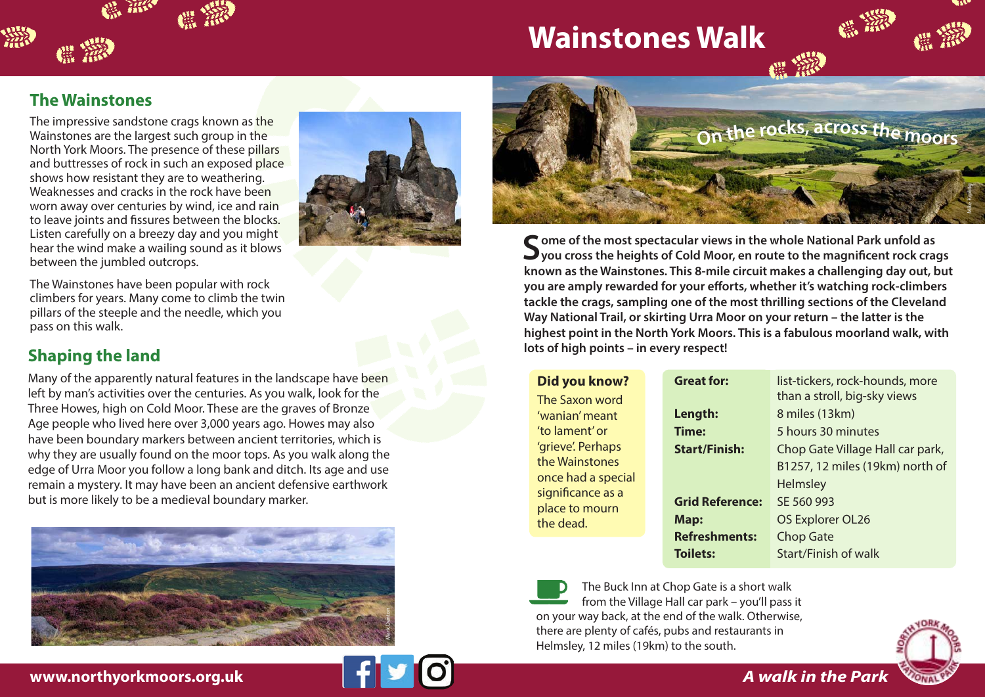

## **The Wainstones**

撇

The impressive sandstone crags known as the Wainstones are the largest such group in the North York Moors. The presence of these pillars and buttresses of rock in such an exposed place shows how resistant they are to weathering. Weaknesses and cracks in the rock have been worn away over centuries by wind, ice and rain to leave joints and fissures between the blocks. Listen carefully on a breezy day and you might hear the wind make a wailing sound as it blows between the jumbled outcrops.



The Wainstones have been popular with rock climbers for years. Many come to climb the twin pillars of the steeple and the needle, which you pass on this walk.

## **Shaping the land**

Many of the apparently natural features in the landscape have been left by man's activities over the centuries. As you walk, look for the Three Howes, high on Cold Moor. These are the graves of Bronze Age people who lived here over 3,000 years ago. Howes may also have been boundary markers between ancient territories, which is why they are usually found on the moor tops. As you walk along the edge of Urra Moor you follow a long bank and ditch. Its age and use remain a mystery. It may have been an ancient defensive earthwork but is more likely to be a medieval boundary marker.





Some of the most spectacular views in the whole National Park unfold as<br>
you cross the heights of Cold Moor, en route to the magnificent rock crags **known as the Wainstones. This 8-mile circuit makes a challenging day out, but you are amply rewarded for your efforts, whether it's watching rock-climbers tackle the crags, sampling one of the most thrilling sections of the Cleveland Way National Trail, or skirting Urra Moor on your return – the latter is the highest point in the North York Moors. This is a fabulous moorland walk, with lots of high points – in every respect!** 

| Did you know? |  |
|---------------|--|
|---------------|--|

The Saxon word 'wanian' meant 'to lament' or 'grieve'. Perhaps the Wainstones once had a special significance as a place to mourn the dead.

| <b>Great for:</b>      | list-tickers, rock-hounds, more<br>than a stroll, big-sky views |
|------------------------|-----------------------------------------------------------------|
| Length:                | 8 miles (13km)                                                  |
| Time:                  | 5 hours 30 minutes                                              |
| <b>Start/Finish:</b>   | Chop Gate Village Hall car park,                                |
|                        | B1257, 12 miles (19km) north of                                 |
|                        | Helmsley                                                        |
| <b>Grid Reference:</b> | SE 560 993                                                      |
| Map:                   | OS Explorer OL26                                                |
| <b>Refreshments:</b>   | Chop Gate                                                       |
| <b>Toilets:</b>        | Start/Finish of walk                                            |
|                        |                                                                 |

The Buck Inn at Chop Gate is a short walk from the Village Hall car park – you'll pass it on your way back, at the end of the walk. Otherwise, there are plenty of cafés, pubs and restaurants in Helmsley, 12 miles (19km) to the south.



**www.northyorkmoors.org.uk**



*A walk in the Park*